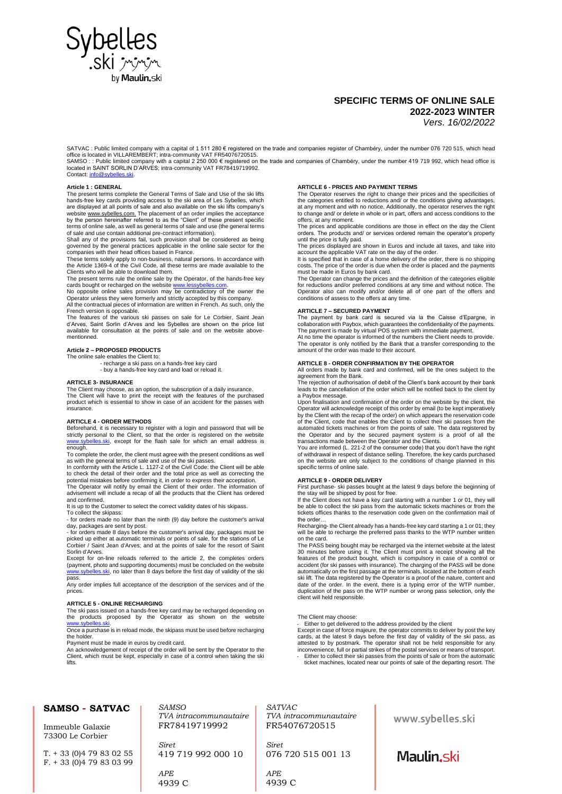

# **SPECIFIC TERMS OF ONLINE SALE 2022-2023 WINTER** *Vers. 16/02/2022*

SATVAC : Public limited company with a capital of 1 511 280 € registered on the trade and companies register of Chambéry, under the number 076 720 515, which head

office is located in VILLAREMBERT; intra-community VAT FR54076720515.<br>SAMSO : : Public limited company with a capital 2 250 000 € registered on the trade and companies of Chambéry, under the number 419 719 992, which head Contact: info@s

# **Article 1 : GENERAL**

The present terms complete the General Terms of Sale and Use of the ski lifts hands-free key cards providing access to the ski area of Les Sybelles, which are displayed at all points of sale and also available on the ski lifts company's websit[e www.sybelles.com.](http://www.sybelles.com/) The placement of an order implies the acceptance<br>by the person hereinafter referred to as the "Client" of these present specific terms of online sale, as well as general terms of sale and use (the general terms of sale and use contain additional pre-contract information).

Shall any of the provisions fail, such provision shall be considered as being governed by the general practices applicable in the online sale sector for the companies with their head offices based in France.

These terms solely apply to non-business, natural persons. In accordance with the Article 1369-4 of the Civil Code, all these terms are made available to the Clients who will be able to download them.

The present terms rule the online sale by the Operator, of the hands-free key cards bought or recharged on the website www.lessybelles.com.<br>No opposite online sales provision may be contradictory of the owner the

Operator unless they were formerly and strictly accepted by this company. All the contractual pieces of information are written in French. As such, only the

French version is opposable. The features of the various ski passes on sale for Le Corbier, Saint Jean d'Arves, Saint Sorlin d'Arves and les Sybelles are shown on the price list available for consultation at the points of sale and on the website abovementionned.

# **Article 2 – PROPOSED PRODUCTS**

The online sale enables the Client to:

- recharge a ski pass on a hands-free key card - buy a hands-free key card and load or reload it.

#### **ARTICLE 3- INSURANCE**

The Client may choose, as an option, the subscription of a daily insurance. The Client will have to print the receipt with the features of the purchased product which is essential to show in case of an accident for the passes with insurance.

#### **ARTICLE 4 - ORDER METHODS**

Beforehand, it is necessary to register with a login and password that will be<br>strictly personal to the Client, so that the order is registered on the website<br><u>www.sybelles.ski</u>, except for the flash sale for which an emai enough.

To complete the order, the client must agree with the present conditions as well as with the general terms of sale and use of the ski passes.

In conformity with the Article L. 1127-2 of the Civil Code: the Client will be able to check the detail of their order and the total price as well as correcting the potential mistakes before confirming it, in order to express their acceptation. The Operator will notify by email the Client of their order. The information of

advisement will include a recap of all the products that the Client has ordered and confirmed.

It is up to the Customer to select the correct validity dates of his skipass. To collect the skipass:

- for orders made no later than the ninth (9) day before the customer's arrival

day, packages are sent by post. - for orders made 8 days before the customer's arrival day, packages must be picked up either at automatic terminals or points of sale, for the stations of Le Corbier / Saint Jean d'Arves; and at the points of sale for the resort of Saint Sorlin d'Arves

Except for on-line reloads referred to the article 2, the completes orders (payment, photo and supporting documents) must be concluded on the website<br>[www.sybelles.ski,](http://www.sybelles.ski/) no later than 8 days before the first day of validity of the ski pass.

Any order implies full acceptance of the description of the services and of the prices.

# **ARTICLE 5 - ONLINE RECHARGING**

The ski pass issued on a hands-free key card may be recharged depending on the products proposed by the Operator as shown on the website wholles.

Once a purchase is in reload mode, the skipass must be used before recharging the holder.

Payment must be made in euros by credit card.

An acknowledgement of receipt of the order will be sent by the Operator to the Client, which must be kept, especially in case of a control when taking the ski lifts.

# **ARTICLE 6 - PRICES AND PAYMENT TERMS**

The Operator reserves the right to change their prices and the specificities of the categories entitled to reductions and/ or the conditions giving advantages, at any moment and with no notice. Additionally, the operator reserves the right to change and/ or delete in whole or in part, offers and access conditions to the offers, at any moment.

The prices and applicable conditions are those in effect on the day the Client orders. The products and/ or services ordered remain the operator's property

until the price is fully paid. The prices displayed are shown in Euros and include all taxes, and take into

account the applicable VAT rate on the day of the order. It is specified that in case of a home delivery of the order, there is no shipping costs. The price of the order is due when the order is placed and the payments must be made in Euros by bank card.

The Operator can change the prices and the definition of the categories eligible for reductions and/or preferred conditions at any time and without notice. The Operator also can modify and/or delete all of one part of the offers and conditions of assess to the offers at any time.

#### **ARTICLE 7 – SECURED PAYMENT**

The payment by bank card is secured via la the Caisse d'Epargne, in<br>collaboration with Paybox, which guarantees the confidentiality of the payments.<br>The payment is made by virtual POS system with immediate payment.

At no time the operator is informed of the numbers the Client needs to provide. The operator is only notified by the Bank that a transfer corresponding to the amount of the order was made to their account.

#### **ARTICLE 8 - ORDER CONFIRMATION BY THE OPERATOR**

All orders made by bank card and confirmed, will be the ones subject to the agreement from the Bank.

The rejection of authorisation of debit of the Client's bank account by their bank leads to the cancellation of the order which will be notified back to the client by a Paybox message.

Upon finalisation and confirmation of the order on the website by the client, the Operator will acknowledge receipt of this order by email (to be kept imperatively<br>by the Client with the recap of the order) on which appears the reservation code<br>of the Client, code that enables the Client to collect thei automated tickets machines or from the points of sale. The data registered by the Operator and by the secured payment system is a proof of all the<br>transactions made between the Operator and the Clients.<br>You are informed (L. 221-2 of the consumer code) that you don't have the right

of withdrawal in respect of distance selling. Therefore, the key cards purchased on the website are only subject to the conditions of change planned in this specific terms of online sale.

#### **ARTICLE 9 - ORDER DELIVERY**

First purchase- ski passes bought at the latest 9 days before the beginning of

the stay will be shipped by post for free.<br>If the Client does not have a key card starting with a number 1 or 01, they will<br>be able to collect the ski pass from the automatic tickets machines or from the tickets offices thanks to the reservation code given on the confirmation mail of the order…

Recharging- the Client already has a hands-free key card starting a 1 or 01; they will be able to recharge the preferred pass thanks to the WTP number written on the card.

The PASS being bought may be recharged via the internet website at the latest 30 minutes before using it. The Client must print a receipt showing all the features of the product bought, which is compulsory in case of a control or accident (for ski passes with insurance). The charging of the PASS wil ski lift. The data registered by the Operator is a proof of the nature, content and date of the order. In the event, there is a typing error of the WTP number, duplication of the pass on the WTP number or wrong pass selection, only the client will held responsible.

### The Client may choose:

- Either to get delivered to the address provided by the client<br>Except in case of force majeure, the operator commits to deliver by post the key<br>cards, at the latest 9 days before the first day of validity of the ski pass, inconvenience, full or partial strikes of the postal services or means of transport. - Either to collect their ski passes from the points of sale or from the automatic

ticket machines, located near our points of sale of the departing resort. The

| <b>SAMSO - SATVAC</b><br>Immeuble Galaxie                          | SAMSO<br>TVA intracommunautaire<br>FR78419719992 | <i>SATVAC</i><br>TVA intracommunautaire<br>FR54076720515 | www.sybelles.ski |
|--------------------------------------------------------------------|--------------------------------------------------|----------------------------------------------------------|------------------|
| 73300 Le Corbier<br>$T. + 33(0)479830255$<br>$F. + 33(0)479830399$ | <b>Siret</b><br>419 719 992 000 10               | <b>Siret</b><br>076 720 515 001 13                       | Maulin.ski       |
|                                                                    | APE<br>4939 C                                    | APE<br>4939 C                                            |                  |